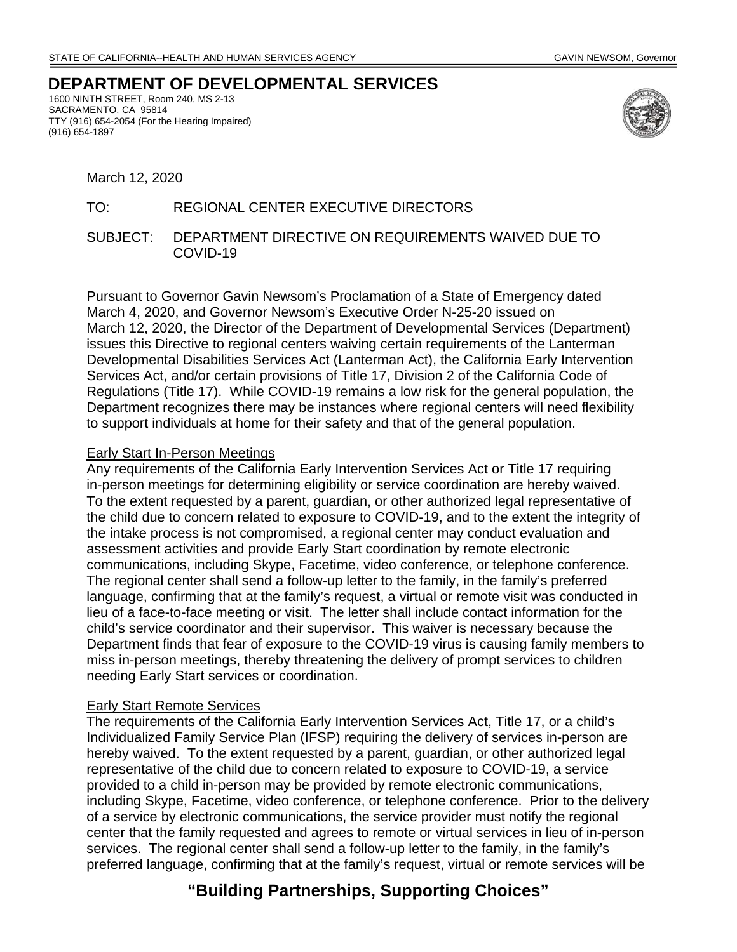# **DEPARTMENT OF DEVELOPMENTAL SERVICES**

1600 NINTH STREET, Room 240, MS 2-13 SACRAMENTO, CA 95814 TTY (916) 654-2054 (For the Hearing Impaired) (916) 654-1897



March 12, 2020

## TO: REGIONAL CENTER EXECUTIVE DIRECTORS

SUBJECT: DEPARTMENT DIRECTIVE ON REQUIREMENTS WAIVED DUE TO COVID-19

Pursuant to Governor Gavin Newsom's Proclamation of a State of Emergency dated March 4, 2020, and Governor Newsom's Executive Order N-25-20 issued on March 12, 2020, the Director of the Department of Developmental Services (Department) issues this Directive to regional centers waiving certain requirements of the Lanterman Developmental Disabilities Services Act (Lanterman Act), the California Early Intervention Services Act, and/or certain provisions of Title 17, Division 2 of the California Code of Regulations (Title 17). While COVID-19 remains a low risk for the general population, the Department recognizes there may be instances where regional centers will need flexibility to support individuals at home for their safety and that of the general population.

#### Early Start In-Person Meetings

Any requirements of the California Early Intervention Services Act or Title 17 requiring in-person meetings for determining eligibility or service coordination are hereby waived. To the extent requested by a parent, guardian, or other authorized legal representative of the child due to concern related to exposure to COVID-19, and to the extent the integrity of the intake process is not compromised, a regional center may conduct evaluation and assessment activities and provide Early Start coordination by remote electronic communications, including Skype, Facetime, video conference, or telephone conference. The regional center shall send a follow-up letter to the family, in the family's preferred language, confirming that at the family's request, a virtual or remote visit was conducted in lieu of a face-to-face meeting or visit. The letter shall include contact information for the child's service coordinator and their supervisor. This waiver is necessary because the Department finds that fear of exposure to the COVID-19 virus is causing family members to miss in-person meetings, thereby threatening the delivery of prompt services to children needing Early Start services or coordination.

#### Early Start Remote Services

The requirements of the California Early Intervention Services Act, Title 17, or a child's Individualized Family Service Plan (IFSP) requiring the delivery of services in-person are hereby waived. To the extent requested by a parent, guardian, or other authorized legal representative of the child due to concern related to exposure to COVID-19, a service provided to a child in-person may be provided by remote electronic communications, including Skype, Facetime, video conference, or telephone conference. Prior to the delivery of a service by electronic communications, the service provider must notify the regional center that the family requested and agrees to remote or virtual services in lieu of in-person services. The regional center shall send a follow-up letter to the family, in the family's preferred language, confirming that at the family's request, virtual or remote services will be

# **"Building Partnerships, Supporting Choices"**